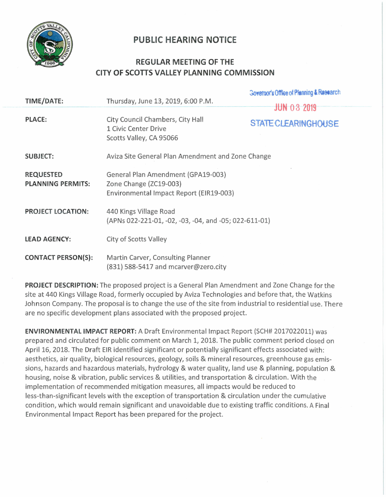

## **PUBLIC HEARING NOTICE**

## **REGULAR MEETING OF THE CITY OF SCOTTS VALLEY PLANNING COMMISSION**

| TIME/DATE:                                   | Thursday, June 13, 2019, 6:00 P.M.                                                                      | Governor's Office of Planning & Research         |
|----------------------------------------------|---------------------------------------------------------------------------------------------------------|--------------------------------------------------|
| <b>PLACE:</b>                                | City Council Chambers, City Hall<br>1 Civic Center Drive<br>Scotts Valley, CA 95066                     | <b>JUN 03 2019</b><br><b>STATE CLEARINGHOUSE</b> |
| <b>SUBJECT:</b>                              | Aviza Site General Plan Amendment and Zone Change                                                       |                                                  |
| <b>REQUESTED</b><br><b>PLANNING PERMITS:</b> | General Plan Amendment (GPA19-003)<br>Zone Change (ZC19-003)<br>Environmental Impact Report (EIR19-003) |                                                  |
| <b>PROJECT LOCATION:</b>                     | 440 Kings Village Road<br>(APNs 022-221-01, -02, -03, -04, and -05; 022-611-01)                         |                                                  |
| <b>LEAD AGENCY:</b>                          | City of Scotts Valley                                                                                   |                                                  |
| <b>CONTACT PERSON(S):</b>                    | Martin Carver, Consulting Planner<br>$(831)$ 588-5417 and mcarver@zero.city                             |                                                  |

**PROJECT DESCRIPTION:** The proposed project is a General Plan Amendment and Zone Change for the site at 440 Kings Village Road, formerly occupied by Aviza Technologies and before that, the Watkins Johnson Company. The proposal is to change the use of the site from industrial to residential use. There are no specific development plans associated with the proposed project.

**ENVIRONMENTAL IMPACT REPORT:** A Draft Environmental Impact Report (SCH# 2017022011) was prepared and circulated for public comment on March 1, 2018. The public comment period closed on April 16, 2018. The Draft EIR identified significant or potentially significant effects associated with: aesthetics, air quality, biological resources, geology, soils & mineral resources, greenhouse gas emissions, hazards and hazardous materials, hydrology & water quality, land use & planning, population & housing, noise & vibration, public services & utilities, and transportation & circulation. With the implementation of recommended mitigation measures, all impacts would be reduced to less-than-significant levels with the exception of transportation & circulation under the cumulative condition, which would remain significant and unavoidable due to existing traffic conditions. A Final Environmental Impact Report has been prepared for the project.